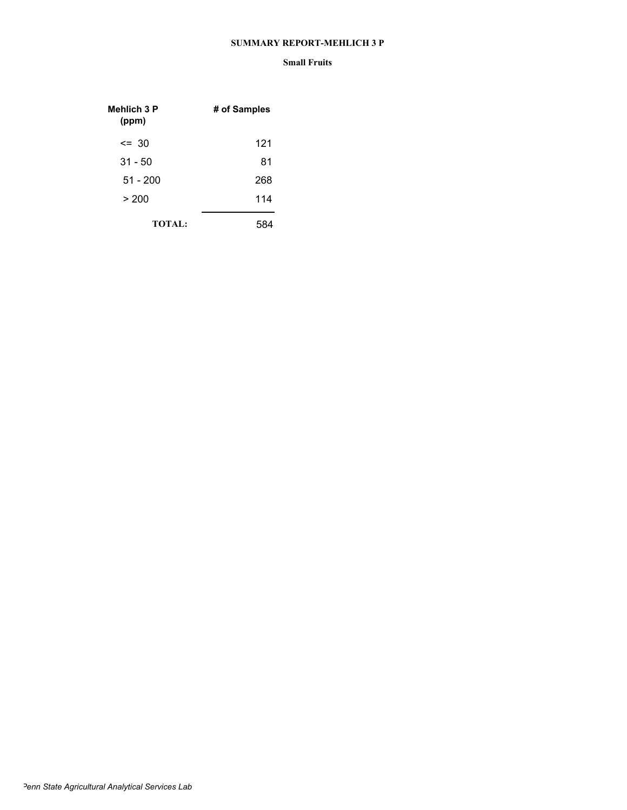#### **SUMMARY REPORT-MEHLICH 3 P**

| Mehlich 3 P<br>(ppm) | # of Samples |
|----------------------|--------------|
| $\leq$ 30            | 121          |
| $31 - 50$            | 81           |
| $51 - 200$           | 268          |
| > 200                | 114          |
| <b>TOTAL:</b>        |              |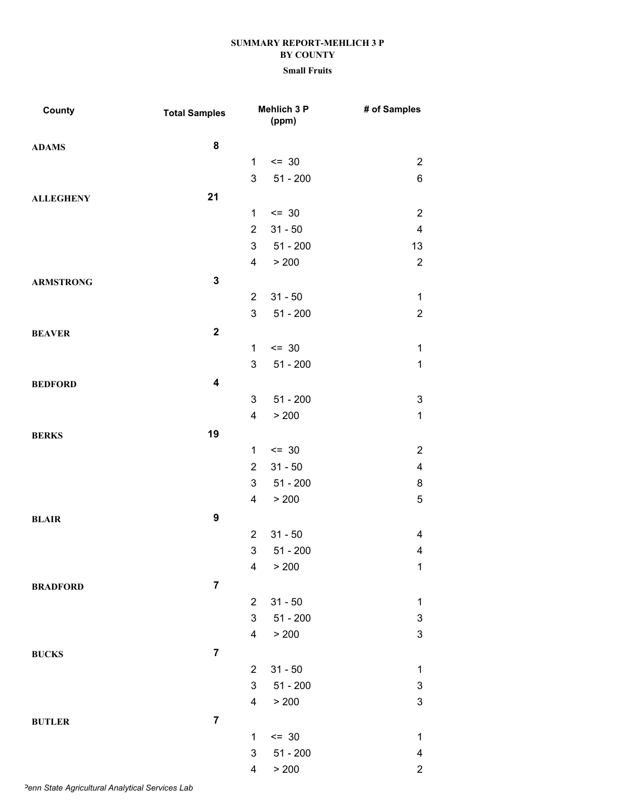| County           | <b>Total Samples</b>    |                         | Mehlich 3 P<br>(ppm) | # of Samples              |
|------------------|-------------------------|-------------------------|----------------------|---------------------------|
| <b>ADAMS</b>     | 8                       |                         |                      |                           |
|                  |                         | $\mathbf{1}$            | $= 30$               | $\mathbf{2}$              |
|                  |                         | 3                       | $51 - 200$           | 6                         |
| <b>ALLEGHENY</b> | 21                      |                         |                      |                           |
|                  |                         | 1                       | $= 30$               | $\sqrt{2}$                |
|                  |                         | $\overline{2}$          | $31 - 50$            | $\overline{\mathbf{4}}$   |
|                  |                         | 3                       | $51 - 200$           | 13                        |
|                  |                         | 4                       | > 200                | $\sqrt{2}$                |
| <b>ARMSTRONG</b> | $\mathbf 3$             |                         |                      |                           |
|                  |                         | $\overline{2}$          | $31 - 50$            | $\mathbf{1}$              |
|                  |                         | 3                       | $51 - 200$           | $\mathbf{2}$              |
| <b>BEAVER</b>    | $\mathbf 2$             |                         |                      |                           |
|                  |                         | 1                       | $= 30$               | $\mathbf{1}$              |
|                  |                         | 3                       | $51 - 200$           | $\mathbf 1$               |
| <b>BEDFORD</b>   | $\overline{\mathbf{4}}$ |                         |                      |                           |
|                  |                         | 3                       | $51 - 200$           | $\ensuremath{\mathsf{3}}$ |
|                  |                         | $\overline{\mathbf{4}}$ | > 200                | $\mathbf 1$               |
| <b>BERKS</b>     | 19                      |                         |                      |                           |
|                  |                         | $\mathbf{1}$            | $\leq$ 30            | $\mathbf{2}$              |
|                  |                         | $\overline{2}$          | $31 - 50$            | $\overline{\mathbf{4}}$   |
|                  |                         | 3                       | $51 - 200$           | 8                         |
|                  |                         | 4                       | > 200                | $\sqrt{5}$                |
| <b>BLAIR</b>     | $\boldsymbol{9}$        |                         |                      |                           |
|                  |                         | $\overline{2}$          | $31 - 50$            | $\overline{\mathbf{4}}$   |
|                  |                         | 3                       | $51 - 200$           | $\overline{\mathbf{4}}$   |
|                  |                         | 4                       | > 200                | $\mathbf{1}$              |
| <b>BRADFORD</b>  | $\overline{7}$          |                         |                      |                           |
|                  |                         | $\overline{2}$          | $31 - 50$            | $\mathbf{1}$              |
|                  |                         | 3                       | $51 - 200$           | $\ensuremath{\mathsf{3}}$ |
|                  |                         | 4                       | > 200                | $\mathfrak{S}$            |
| <b>BUCKS</b>     | $\overline{7}$          |                         |                      |                           |
|                  |                         | $\overline{2}$          | $31 - 50$            | $\mathbf{1}$              |
|                  |                         | 3                       | $51 - 200$           | $\ensuremath{\mathsf{3}}$ |
|                  |                         | 4                       | > 200                | $\mathsf 3$               |
| <b>BUTLER</b>    | $\overline{7}$          |                         |                      |                           |
|                  |                         | 1                       | $= 30$               | $\mathbf{1}$              |
|                  |                         | 3                       | $51 - 200$           | 4                         |
|                  |                         | 4                       | > 200                | $\overline{c}$            |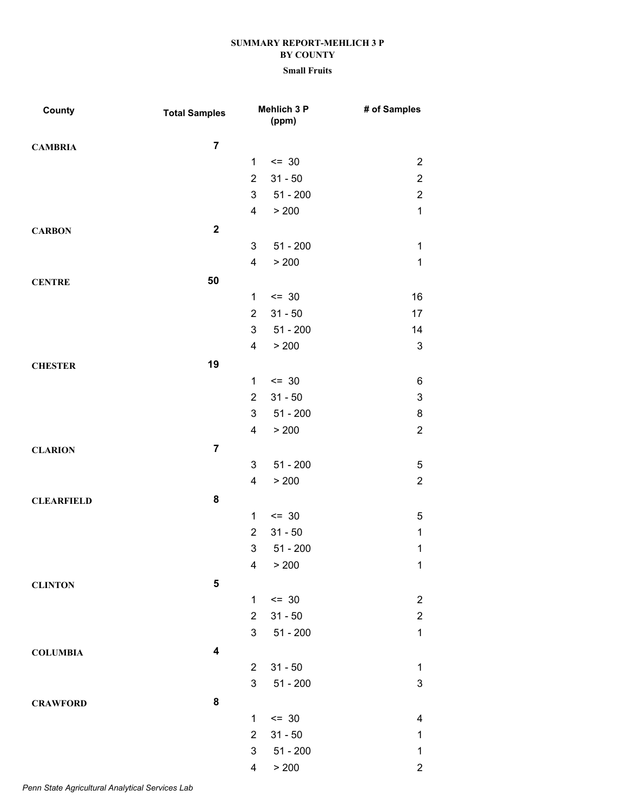| County            | <b>Total Samples</b>    |                         | Mehlich 3 P<br>(ppm) | # of Samples              |
|-------------------|-------------------------|-------------------------|----------------------|---------------------------|
| <b>CAMBRIA</b>    | $\overline{7}$          |                         |                      |                           |
|                   |                         | 1                       | $= 30$               | $\overline{2}$            |
|                   |                         | $\overline{2}$          | $31 - 50$            | $\boldsymbol{2}$          |
|                   |                         | 3                       | $51 - 200$           | $\overline{\mathbf{c}}$   |
|                   |                         | 4                       | > 200                | $\mathbf{1}$              |
| <b>CARBON</b>     | $\mathbf{2}$            |                         |                      |                           |
|                   |                         | 3                       | $51 - 200$           | $\mathbf{1}$              |
|                   |                         | $\overline{\mathbf{4}}$ | > 200                | $\mathbf{1}$              |
| <b>CENTRE</b>     | 50                      |                         |                      |                           |
|                   |                         | $\mathbf 1$             | $= 30$               | 16                        |
|                   |                         | $\overline{2}$          | $31 - 50$            | 17                        |
|                   |                         | 3                       | $51 - 200$           | 14                        |
|                   |                         | 4                       | > 200                | $\mathsf 3$               |
| <b>CHESTER</b>    | 19                      |                         |                      |                           |
|                   |                         | $\mathbf{1}$            | $= 30$               | 6                         |
|                   |                         | $\overline{2}$          | $31 - 50$            | $\ensuremath{\mathsf{3}}$ |
|                   |                         | 3                       | $51 - 200$           | 8                         |
|                   |                         | 4                       | > 200                | $\mathbf 2$               |
| <b>CLARION</b>    | $\overline{7}$          |                         |                      |                           |
|                   |                         | 3                       | $51 - 200$           | $\,$ 5 $\,$               |
|                   |                         | 4                       | > 200                | $\mathbf 2$               |
| <b>CLEARFIELD</b> | 8                       |                         |                      |                           |
|                   |                         | $\mathbf 1$             | $= 30$               | $\sqrt{5}$                |
|                   |                         | $\overline{2}$          | $31 - 50$            | $\mathbf 1$               |
|                   |                         | 3                       | $51 - 200$           | $\mathbf 1$               |
|                   |                         | 4                       | > 200                | $\mathbf{1}$              |
| <b>CLINTON</b>    | 5                       |                         |                      |                           |
|                   |                         | 1                       | $= 30$               | $\boldsymbol{2}$          |
|                   |                         | $\overline{2}$          | $31 - 50$            | $\mathbf 2$               |
|                   |                         | 3                       | $51 - 200$           | $\mathbf 1$               |
| <b>COLUMBIA</b>   | $\overline{\mathbf{4}}$ |                         |                      |                           |
|                   |                         | $\overline{2}$          | $31 - 50$            | $\mathbf 1$               |
|                   |                         | 3                       | $51 - 200$           | $\ensuremath{\mathsf{3}}$ |
| <b>CRAWFORD</b>   | ${\bf 8}$               |                         |                      |                           |
|                   |                         | $\mathbf{1}$            | $= 30$               | 4                         |
|                   |                         | $\overline{2}$          | $31 - 50$            | $\mathbf 1$               |
|                   |                         | 3                       | $51 - 200$           | $\mathbf 1$               |
|                   |                         | 4                       | > 200                | $\overline{c}$            |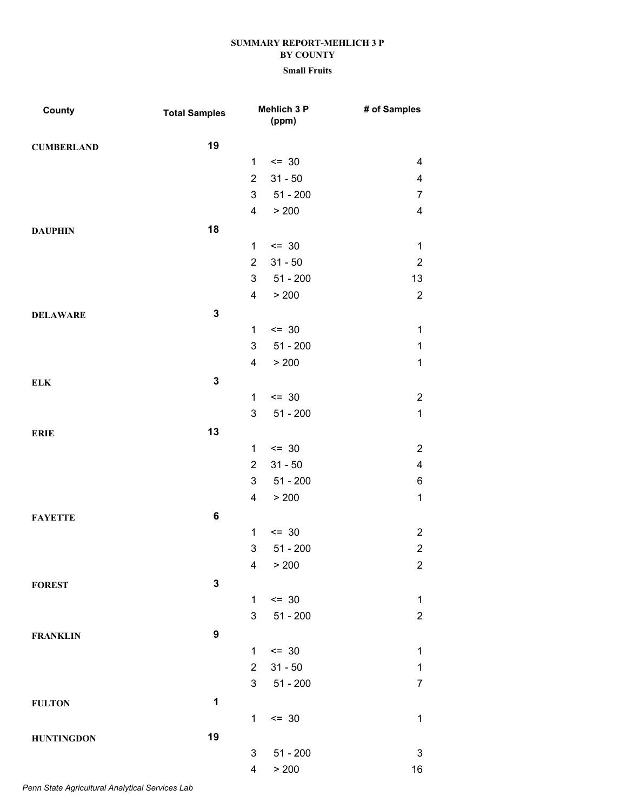### **Small Fruits**

| County            | <b>Total Samples</b> |                 | Mehlich 3 P<br>(ppm) | # of Samples              |
|-------------------|----------------------|-----------------|----------------------|---------------------------|
| <b>CUMBERLAND</b> | 19                   |                 |                      |                           |
|                   |                      | 1               | $= 30$               | $\overline{\mathbf{4}}$   |
|                   |                      | $\overline{2}$  | $31 - 50$            | $\overline{\mathbf{4}}$   |
|                   |                      | $3\overline{3}$ | $51 - 200$           | $\overline{7}$            |
|                   |                      | 4               | > 200                | $\overline{\mathbf{4}}$   |
| <b>DAUPHIN</b>    | 18                   |                 |                      |                           |
|                   |                      | 1               | $= 30$               | $\mathbf{1}$              |
|                   |                      | $\overline{2}$  | $31 - 50$            | $\sqrt{2}$                |
|                   |                      | 3               | $51 - 200$           | 13                        |
|                   |                      | 4               | > 200                | $\overline{2}$            |
| <b>DELAWARE</b>   | $\mathbf 3$          |                 |                      |                           |
|                   |                      | $\mathbf{1}$    | $\leq$ 30            | $\mathbf 1$               |
|                   |                      | 3               | $51 - 200$           | $\mathbf{1}$              |
|                   |                      | 4               | > 200                | $\mathbf 1$               |
| <b>ELK</b>        | $\mathbf 3$          |                 |                      |                           |
|                   |                      | $\mathbf 1$     | $\leq$ 30            | $\mathbf 2$               |
|                   |                      | 3               | $51 - 200$           | $\mathbf 1$               |
| <b>ERIE</b>       | 13                   |                 |                      |                           |
|                   |                      | 1               | $= 30$               | $\sqrt{2}$                |
|                   |                      | $\overline{2}$  | $31 - 50$            | $\overline{\mathbf{4}}$   |
|                   |                      | 3               | $51 - 200$           | $\,6$                     |
|                   |                      | 4               | > 200                | $\mathbf 1$               |
| <b>FAYETTE</b>    | 6                    |                 |                      |                           |
|                   |                      | $\mathbf{1}$    | $\leq$ 30            | $\sqrt{2}$                |
|                   |                      | 3               | $51 - 200$           | $\mathbf 2$               |
|                   |                      | 4               | > 200                | $\overline{2}$            |
| <b>FOREST</b>     | $\mathbf 3$          |                 |                      |                           |
|                   |                      | 1               | $\leq$ 30            | $\mathbf 1$               |
|                   |                      | 3               | $51 - 200$           | $\mathbf 2$               |
| <b>FRANKLIN</b>   | 9                    |                 |                      |                           |
|                   |                      | 1               | $= 30$               | $\mathbf 1$               |
|                   |                      | $\overline{2}$  | $31 - 50$            | $\mathbf 1$               |
|                   |                      | 3               | $51 - 200$           | $\overline{7}$            |
| <b>FULTON</b>     | 1                    |                 |                      |                           |
|                   |                      | 1               | $= 30$               | $\mathbf 1$               |
| <b>HUNTINGDON</b> | 19                   |                 |                      |                           |
|                   |                      | 3               | $51 - 200$           | $\ensuremath{\mathsf{3}}$ |
|                   |                      | 4               | > 200                | 16                        |

*Penn State Agricultural Analytical Services Lab*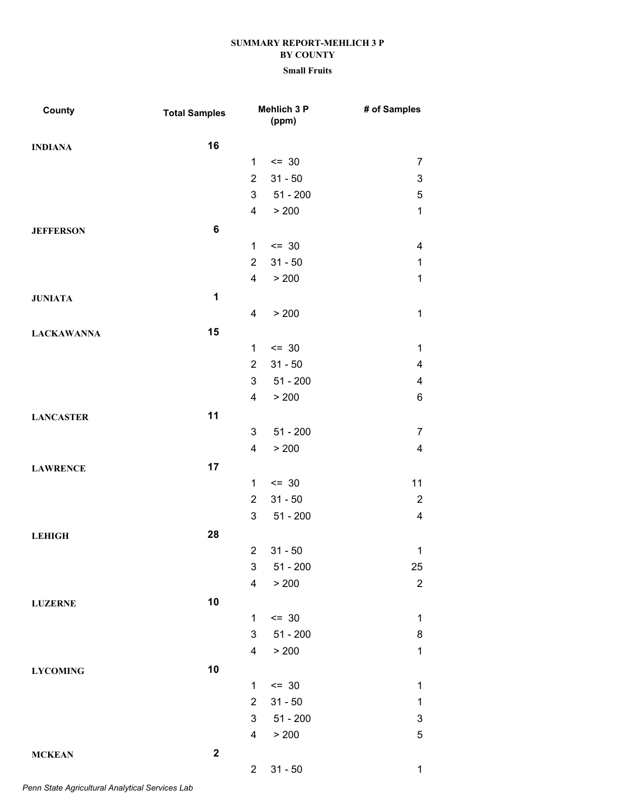| County            | <b>Total Samples</b> |                         | Mehlich 3 P<br>(ppm) | # of Samples            |
|-------------------|----------------------|-------------------------|----------------------|-------------------------|
| <b>INDIANA</b>    | 16                   |                         |                      |                         |
|                   |                      | $\mathbf{1}$            | $= 30$               | $\overline{7}$          |
|                   |                      | $\overline{2}$          | $31 - 50$            | 3                       |
|                   |                      | 3                       | $51 - 200$           | $\mathbf 5$             |
|                   |                      | $\overline{\mathbf{4}}$ | > 200                | $\mathbf 1$             |
| <b>JEFFERSON</b>  | 6                    |                         |                      |                         |
|                   |                      | 1                       | $= 30$               | 4                       |
|                   |                      | $\overline{2}$          | $31 - 50$            | $\mathbf{1}$            |
|                   |                      | 4                       | > 200                | $\mathbf 1$             |
| <b>JUNIATA</b>    | $\mathbf 1$          |                         |                      |                         |
|                   |                      | 4                       | > 200                | $\mathbf{1}$            |
| <b>LACKAWANNA</b> | 15                   |                         |                      |                         |
|                   |                      | 1                       | $\leq$ 30            | $\mathbf{1}$            |
|                   |                      | $\overline{2}$          | $31 - 50$            | 4                       |
|                   |                      | 3                       | $51 - 200$           | 4                       |
|                   |                      | 4                       | > 200                | $\,6$                   |
| <b>LANCASTER</b>  | 11                   |                         |                      |                         |
|                   |                      | 3                       | $51 - 200$           | $\overline{7}$          |
|                   |                      | 4                       | > 200                | $\overline{\mathbf{4}}$ |
| <b>LAWRENCE</b>   | 17                   |                         |                      |                         |
|                   |                      | 1                       | $\leq$ 30            | 11                      |
|                   |                      | $\overline{2}$          | $31 - 50$            | $\overline{2}$          |
|                   |                      | 3                       | $51 - 200$           | $\overline{\mathbf{4}}$ |
| <b>LEHIGH</b>     | 28                   |                         |                      |                         |
|                   |                      | $\overline{2}$          | $31 - 50$            | $\mathbf{1}$            |
|                   |                      | 3                       | $51 - 200$           | 25                      |
|                   |                      | 4                       | > 200                | $\overline{2}$          |
| <b>LUZERNE</b>    | 10                   |                         |                      |                         |
|                   |                      | 1                       | $= 30$               | $\mathbf{1}$            |
|                   |                      | 3                       | $51 - 200$           | 8                       |
|                   |                      | 4                       | > 200                | $\mathbf{1}$            |
| <b>LYCOMING</b>   | 10                   |                         |                      |                         |
|                   |                      | 1                       | $= 30$               | $\mathbf 1$             |
|                   |                      | $\overline{2}$          | $31 - 50$            | $\mathbf{1}$            |
|                   |                      | 3                       | $51 - 200$           | 3                       |
|                   |                      | $\overline{\mathbf{4}}$ | > 200                | $\sqrt{5}$              |
| <b>MCKEAN</b>     | $\mathbf 2$          |                         |                      |                         |
|                   |                      | 2 <sup>7</sup>          | $31 - 50$            | $\mathbf{1}$            |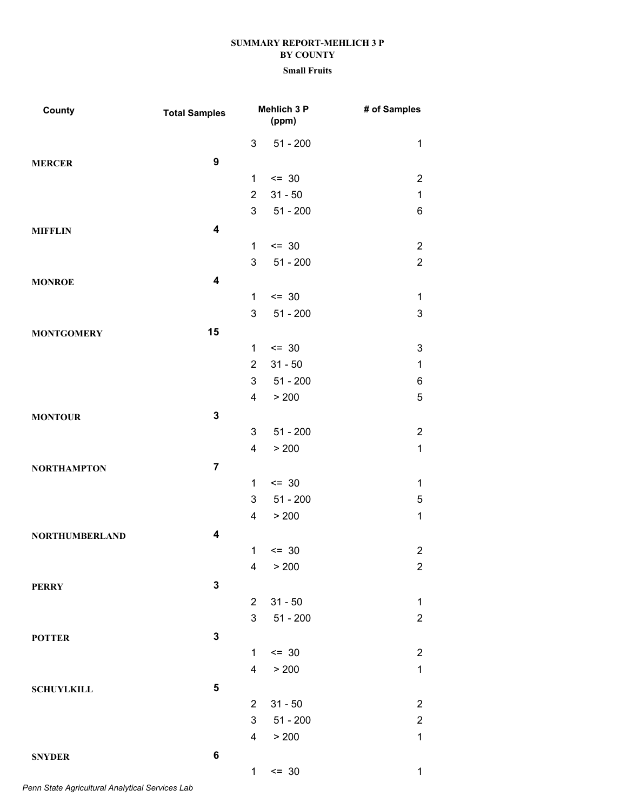### **Small Fruits**

| County                | <b>Total Samples</b>    |                | Mehlich 3 P<br>(ppm) | # of Samples              |
|-----------------------|-------------------------|----------------|----------------------|---------------------------|
|                       |                         | 3              | $51 - 200$           | $\mathbf 1$               |
| <b>MERCER</b>         | $\boldsymbol{9}$        |                |                      |                           |
|                       |                         | 1              | $\leq$ 30            | $\overline{2}$            |
|                       |                         | $\overline{2}$ | $31 - 50$            | $\mathbf 1$               |
|                       |                         | 3              | $51 - 200$           | 6                         |
| <b>MIFFLIN</b>        | $\overline{\mathbf{4}}$ |                |                      |                           |
|                       |                         | 1              | $\leq$ 30            | $\overline{2}$            |
|                       |                         | 3              | $51 - 200$           | $\overline{2}$            |
| <b>MONROE</b>         | $\overline{\mathbf{4}}$ |                |                      |                           |
|                       |                         | $\mathbf{1}$   | $\leq$ 30            | 1                         |
|                       |                         | 3              | $51 - 200$           | $\mathfrak{S}$            |
| <b>MONTGOMERY</b>     | 15                      |                |                      |                           |
|                       |                         | $\mathbf{1}$   | $= 30$               | $\ensuremath{\mathsf{3}}$ |
|                       |                         | $\overline{2}$ | $31 - 50$            | $\mathbf 1$               |
|                       |                         | 3              | $51 - 200$           | 6                         |
|                       |                         | $\overline{4}$ | > 200                | 5                         |
| <b>MONTOUR</b>        | $\mathbf 3$             |                |                      |                           |
|                       |                         | 3              | $51 - 200$           | $\overline{\mathbf{c}}$   |
|                       |                         | 4              | > 200                | $\mathbf 1$               |
| <b>NORTHAMPTON</b>    | $\overline{7}$          |                |                      |                           |
|                       |                         | $\mathbf{1}$   | $= 30$               | $\mathbf 1$               |
|                       |                         | 3              | $51 - 200$           | 5                         |
|                       |                         | 4              | > 200                | $\mathbf 1$               |
| <b>NORTHUMBERLAND</b> | 4                       |                |                      |                           |
|                       |                         | $\mathbf{1}$   | $= 30$               | $\overline{2}$            |
|                       |                         | 4              | > 200                | $\overline{2}$            |
| <b>PERRY</b>          | $\mathbf 3$             |                |                      |                           |
|                       |                         | $\overline{2}$ | $31 - 50$            | 1                         |
|                       |                         | 3              | $51 - 200$           | $\overline{2}$            |
| <b>POTTER</b>         | $\mathbf 3$             |                |                      |                           |
|                       |                         | $\mathbf{1}$   | $= 30$               | $\overline{\mathbf{c}}$   |
|                       |                         | 4              | > 200                | $\mathbf{1}$              |
| <b>SCHUYLKILL</b>     | 5                       |                |                      |                           |
|                       |                         | $\overline{2}$ | $31 - 50$            | $\overline{c}$            |
|                       |                         | 3              | $51 - 200$           | $\overline{\mathbf{c}}$   |
|                       |                         | 4              | > 200                | $\mathbf{1}$              |
| <b>SNYDER</b>         | 6                       |                |                      |                           |
|                       |                         | $\mathbf{1}$   | $= 30$               | $\mathbf 1$               |

*Penn State Agricultural Analytical Services Lab*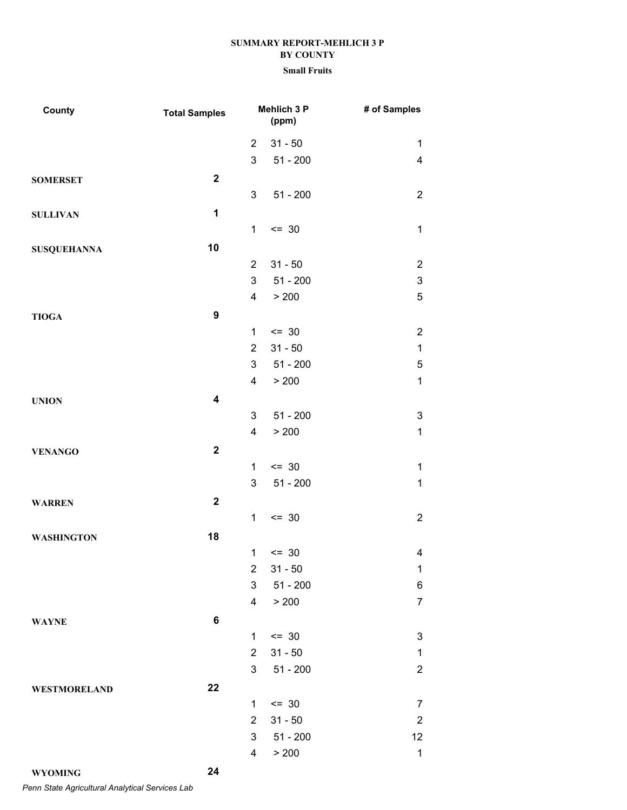| County              | <b>Total Samples</b> |                         | Mehlich 3 P<br>(ppm) | # of Samples            |
|---------------------|----------------------|-------------------------|----------------------|-------------------------|
|                     |                      | $\overline{2}$          | $31 - 50$            | $\mathbf{1}$            |
|                     |                      | 3                       | $51 - 200$           | $\overline{\mathbf{4}}$ |
| <b>SOMERSET</b>     | $\mathbf{2}$         |                         |                      |                         |
|                     |                      | 3                       | $51 - 200$           | $\overline{2}$          |
| <b>SULLIVAN</b>     | $\mathbf 1$          |                         |                      |                         |
|                     |                      | $\mathbf{1}$            | $\leq$ 30            | $\mathbf{1}$            |
| <b>SUSQUEHANNA</b>  | 10                   |                         |                      |                         |
|                     |                      | $\overline{2}$          | $31 - 50$            | $\mathbf{2}$            |
|                     |                      | 3                       | $51 - 200$           | 3                       |
|                     |                      | $\overline{4}$          | > 200                | $\overline{5}$          |
| <b>TIOGA</b>        | $\boldsymbol{9}$     |                         |                      |                         |
|                     |                      | 1                       | $= 30$               | $\overline{2}$          |
|                     |                      | $\overline{2}$          | $31 - 50$            | $\mathbf{1}$            |
|                     |                      | 3                       | $51 - 200$           | 5                       |
|                     |                      | $\overline{\mathbf{4}}$ | > 200                | $\mathbf{1}$            |
| <b>UNION</b>        | 4                    |                         |                      |                         |
|                     |                      | 3                       | $51 - 200$           | 3                       |
|                     |                      | $\overline{4}$          | > 200                | $\mathbf 1$             |
| <b>VENANGO</b>      | $\mathbf{2}$         |                         |                      |                         |
|                     |                      | 1                       | $\leq$ 30            | $\mathbf{1}$            |
|                     |                      | $\mathsf 3$             | $51 - 200$           | $\mathbf 1$             |
| <b>WARREN</b>       | $\mathbf 2$          |                         |                      |                         |
|                     |                      | $\mathbf{1}$            | $= 30$               | $\overline{2}$          |
| <b>WASHINGTON</b>   | 18                   |                         |                      |                         |
|                     |                      | $\mathbf{1}$            | $= 30$               | 4                       |
|                     |                      | $\overline{2}$          | $31 - 50$            | $\mathbf 1$             |
|                     |                      | 3                       | $51 - 200$           | $\,6$                   |
|                     |                      | 4                       | > 200                | $\overline{7}$          |
| <b>WAYNE</b>        | 6                    |                         |                      |                         |
|                     |                      | 1                       | $\leq$ 30            | 3                       |
|                     |                      | $\overline{2}$          | $31 - 50$            | $\mathbf{1}$            |
|                     |                      | 3                       | $51 - 200$           | $\overline{c}$          |
| <b>WESTMORELAND</b> | 22                   |                         |                      |                         |
|                     |                      | $\mathbf{1}$            | $\leq$ 30            | $\overline{7}$          |
|                     |                      | $\overline{2}$          | $31 - 50$            | $\boldsymbol{2}$        |
|                     |                      | 3                       | $51 - 200$           | 12                      |
|                     |                      | $\overline{\mathbf{4}}$ | > 200                | $\mathbf{1}$            |